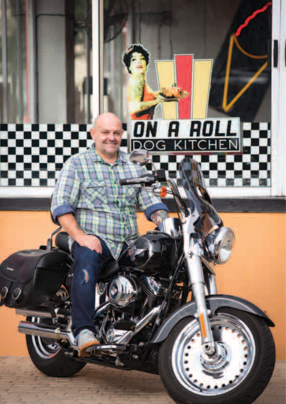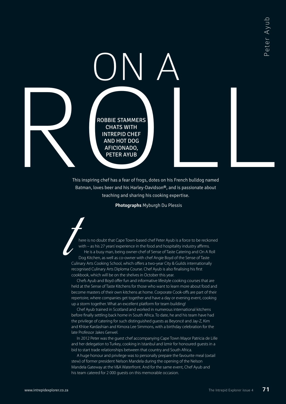Robbie Stammers **CHATS WITH** intrepid chef and hot dog aficionado, PETER AYUB ROBBIE STAMMERS<br>
CHATS WITH<br>
INTREPID CHE<br>
AND HOT DOG<br>
AFICIONADO,<br>
PETER AYUB<br>
BRITIS INSPITITION ADD,<br>
PETER AYUB<br>
BRITIS INSPITITION AND HOT DOG<br>
BRITIS INSPITITION AND HOT DOG<br>
BRITIS INSPITITION AND HOT DOG<br>
BRITIS I

 $\begin{pmatrix} 1 \\ 2 \end{pmatrix}$ 

This inspiring chef has a fear of frogs, dotes on his French bulldog named Batman, loves beer and his Harley-Davidson®, and is passionate about teaching and sharing his cooking expertise.

**Photographs** Myburgh Du Plessis

*tulin* culin reco here is no doubt that Cape Town-based chef Peter Ayub is a force to be reckoned with – as his 27 years' experience in the food and hospitality industry affirms. He is a busy man, being owner-chef of Sense of Taste Catering and On A Roll Dog Kitchen, as well as co-owner with chef Angie Boyd of the Sense of Taste Culinary Arts Cooking School, which offers a two-year City & Guilds internationally recognised Culinary Arts Diploma Course. Chef Ayub is also finalising his first cookbook, which will be on the shelves in October this year.

Chefs Ayub and Boyd offer fun and informative lifestyle cooking courses that are held at the Sense of Taste Kitchens for those who want to learn more about food and become masters of their own kitchens at home. Corporate Cook-offs are part of their repertoire, where companies get together and have a day or evening event, cooking up a storm together. What an excellent platform for team building!

Chef Ayub trained in Scotland and worked in numerous international kitchens before finally settling back home in South Africa. To date, he and his team have had the privilege of catering for such distinguished guests as Beyoncé and Jay-Z, Kim and Khloe Kardashian and Kimora Lee Simmons, with a birthday celebration for the late Professor Jakes Gerwel.

In 2012 Peter was the guest chef accompanying Cape Town Mayor Patricia de Lille and her delegation to Turkey, cooking in Istanbul and Izmir for honoured guests in a bid to start trade relationships between that country and South Africa.

A huge honour and privilege was to personally prepare the favourite meal (oxtail stew) of former president Nelson Mandela during the opening of the Nelson Mandela Gateway at the V&A Waterfront. And for the same event, Chef Ayub and his team catered for 2 000 guests on this memorable occasion.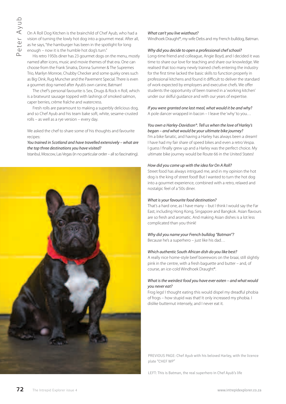On A Roll Dog Kitchen is the brainchild of Chef Ayub, who had a vision of turning the lowly hot dog into a gourmet meal. After all, as he says, "the hamburger has been in the spotlight for long enough – now it is the humble hot dog's turn."

His retro 1950s diner has 23 gourmet dogs on the menu, mostly named after icons, music and movie themes of that era. One can choose from the Frank Sinatra, Donna Summer & The Supremes Trio, Marilyn Monroe, Chubby Checker and some quirky ones such as Big Oink, Rug Muncher and the Pavement Special. There is even a gourmet dog named after Ayub's own canine, Batman!

The chef's personal favourite is Sex, Drugs & Rock n Roll, which is a bratwurst sausage topped with lashings of smoked salmon, caper berries, crème fraîche and watercress.

Fresh rolls are paramount to making a superbly delicious dog, and so Chef Ayub and his team bake soft, white, sesame-crusted rolls – as well as a rye version – every day.

We asked the chef to share some of his thoughts and favourite recipes:

#### *You trained in Scotland and have travelled extensively – what are the top three destinations you have visited?*

Istanbul, Moscow, Las Vegas (in no particular order – all so fascinating).



### *What can't you live wiathout?*

Windhoek Draught®, my wife Debs and my French bulldog, Batman.

#### *Why did you decide to open a professional chef school?*

Long-time friend and colleague, Angie Boyd, and I decided it was time to share our love for teaching and share our knowledge. We realised that too many newly trained chefs entering the industry for the first time lacked the basic skills to function properly in professional kitchens and found it difficult to deliver the standard of work expected by employers and executive chefs. We offer students the opportunity of been trained in a 'working kitchen' under our skilful guidance and with our years of expertise.

### *If you were granted one last meal, what would it be and why?*

A pole dancer wrapped in bacon – I leave the 'why' to you…

#### *You own a Harley-Davidson®. Tell us when the love of Harley's began – and what would be your ultimate bike journey?*

I'm a bike fanatic, and having a Harley has always been a dream! I have had my fair share of speed bikes and even a retro Vespa. I guess I finally grew up and a Harley was the perfect choice. My ultimate bike journey would be Route 66 in the United States!

#### *How did you come up with the idea for On A Roll?*

Street food has always intrigued me, and in my opinion the hot dog is the king of street food! But I wanted to turn the hot dog into a gourmet experience, combined with a retro, relaxed and nostalgic feel of a '50s diner.

#### *What is your favourite food destination?*

That's a hard one, as I have many – but I think I would say the Far East, including Hong Kong, Singapore and Bangkok. Asian flavours are so fresh and aromatic. And making Asian dishes is a lot less complicated than you think!

#### *Why did you name your French bulldog "Batman"?*

Because he's a superhero – just like his dad…

#### *Which authentic South African dish do you like best?*

A really nice home-style beef boerewors on the braai, still slightly pink in the centre, with a fresh baguette and butter – and, of course, an ice-cold Windhoek Draught®.

#### *What is the weirdest food you have ever eaten – and what would you never eat?*

Frog legs! I thought eating this would dispel my dreadful phobia of frogs – how stupid was that! It only increased my phobia. I dislike butternut intensely, and I never eat it.

PREVIOUS PAGE: Chef Ayub with his beloved Harley, with the licence plate "CHEF WP"

LEFT: This is Batman, the real superhero in Chef Ayub's life